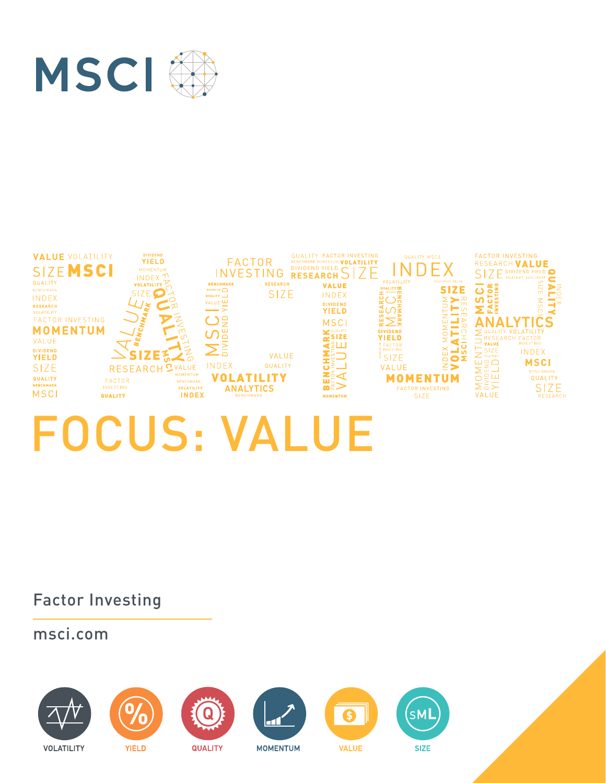

#### FACTOR BENCHARK MOMENTUR VOLATILITY<br>INVESTING RESEARCH SIZE **VALUE VOLATILITY DIVIDENT FACTOR INVESTING QUALITY MSCI YIELD** RESEARCH VALUE **SIZEMSCI**  $N$  $S<sub>l</sub>Z$ E DIVIDEND YIELD **INDEX** VOLATILITY QUALITY MSCI RESEARCH **BENCHMARK** RESEARCH<sup>e</sup> **VOLATILIT VALUE SIZE** SIZE<sup>C</sup> Ď **SIZE** INDEX QUALITY \_\_ INDEX  $\geq$ >≊ VALUE<sup>LU</sup>  $\frac{1}{2}$ **DIVIDEND RESEARCH** - ≍ **YIELD** VOLATILITY END FACTOR INVESTING MSCI **ANAL MOMENTUM** NAME IN THE PROPERTY AND NAME INTERNATION  $\sum_{i=1}^{n}$ SIZE  $\frac{1}{2}$  $\overline{\circ}$ **ITAT** YIELD VALUE **ICHMAR**<br>Alwesting<br>LUUE  $\frac{1}{2}$  $\geq$ E FACTOR<br>E INVESTING **DIVIDEND** ă SIZE<br>VOLATILITY INDEX **IZE**  $\Box$ **VALUE** ENDENDE **YIELD**  $\frac{3}{2}$  SIZE  $\overline{\mathbf{z}}$ **INDE MSCI** INDEX QUALITY VALUE **SIZE RESEARCH** ဂ VALUE ⋗ Z∄< **VOLATILITY MOMENTUM** QUALITY QUALITY FACTOR<br>Investing BENCHMARK ≌ะี SIZE<br>RESEARCH **BENCHMARK VOLATILITY ANALYTICS FACTOR INVESTING MSCI** INDEX **VALUE** QUALITY **MOMENTUM** SIZE

# FOCUS: VALUE

Factor Investing

msci.com

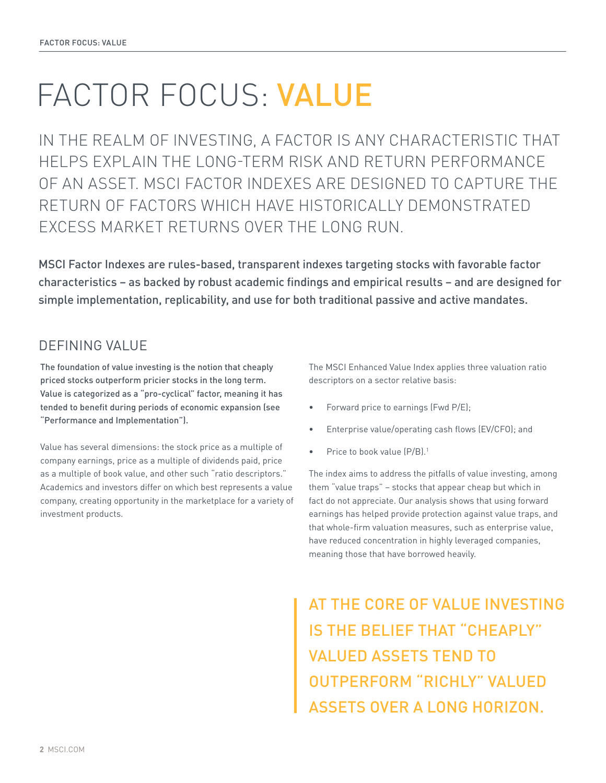## FACTOR FOCUS: VALUE

IN THE REALM OF INVESTING, A FACTOR IS ANY CHARACTERISTIC THAT HELPS EXPLAIN THE LONG-TERM RISK AND RETURN PERFORMANCE OF AN ASSET. MSCI FACTOR INDEXES ARE DESIGNED TO CAPTURE THE RETURN OF FACTORS WHICH HAVE HISTORICALLY DEMONSTRATED EXCESS MARKET RETURNS OVER THE LONG RUN.

MSCI Factor Indexes are rules-based, transparent indexes targeting stocks with favorable factor characteristics – as backed by robust academic findings and empirical results – and are designed for simple implementation, replicability, and use for both traditional passive and active mandates.

#### DEFINING VALUE

The foundation of value investing is the notion that cheaply priced stocks outperform pricier stocks in the long term. Value is categorized as a "pro-cyclical" factor, meaning it has tended to benefit during periods of economic expansion (see "Performance and Implementation").

Value has several dimensions: the stock price as a multiple of company earnings, price as a multiple of dividends paid, price as a multiple of book value, and other such "ratio descriptors." Academics and investors differ on which best represents a value company, creating opportunity in the marketplace for a variety of investment products.

The MSCI Enhanced Value Index applies three valuation ratio descriptors on a sector relative basis:

- Forward price to earnings (Fwd P/E);
- Enterprise value/operating cash flows (EV/CFO); and
- Price to book value (P/B).<sup>1</sup>

The index aims to address the pitfalls of value investing, among them "value traps" – stocks that appear cheap but which in fact do not appreciate. Our analysis shows that using forward earnings has helped provide protection against value traps, and that whole-firm valuation measures, such as enterprise value, have reduced concentration in highly leveraged companies, meaning those that have borrowed heavily.

## AT THE CORE OF VALUE INVESTING IS THE BELIEF THAT "CHEAPLY" VALUED ASSETS TEND TO OUTPERFORM "RICHLY" VALUED ASSETS OVER A LONG HORIZON.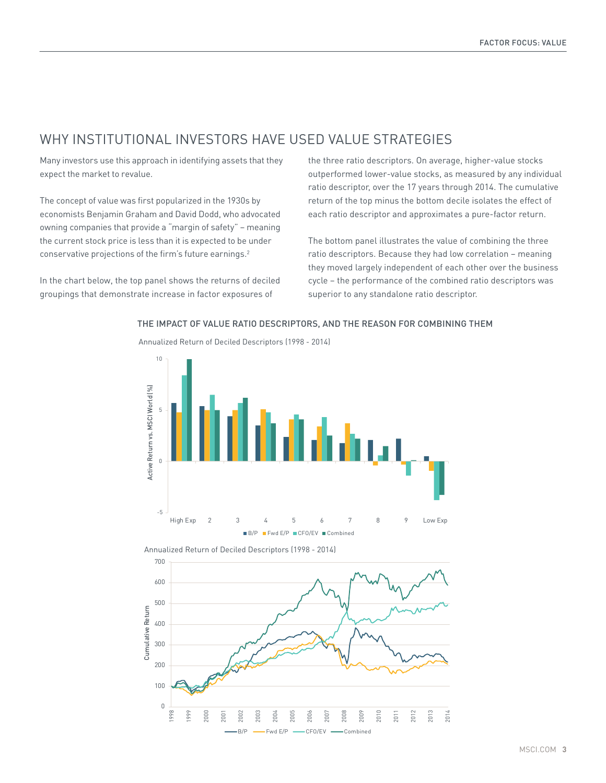#### WHY INSTITUTIONAL INVESTORS HAVE USED VALUE STRATEGIES

Annualized Return of Deciled Descriptors (1998 - 2014)

Many investors use this approach in identifying assets that they expect the market to revalue.

The concept of value was first popularized in the 1930s by economists Benjamin Graham and David Dodd, who advocated 20.72% 500 owning companies that provide a "margin of safety" – meaning 400 the current stock price is less than it is expected to be under conservative projections of the firm's future earnings.<sup>2</sup> a<br>Vis<br>t

In the chart below, the top panel shows the returns of deciled groupings that demonstrate increase in factor exposures of

the three ratio descriptors. On average, higher-value stocks outperformed lower-value stocks, as measured by any individual ratio descriptor, over the 17 years through 2014. The cumulative 200 return of the top minus the bottom decile isolates the effect of each ratio descriptor and approximates a pure-factor return. 150

The bottom panel illustrates the value of combining the three ratio descriptors. Because they had low correlation – meaning they moved largely independent of each other over the business cycle - the performance of the combined ratio descriptors was superior to any standalone ratio descriptor.

### 10 Active Return vs. MSCI World (%) Active Return vs. MSCI World (%) 5 0 -5 High Exp 2 3 4 5 6 7 8 9 Low Exp B/P Fwd E/P CFO/EV Combined

THE IMPACT OF VALUE RATIO DESCRIPTORS, AND THE REASON FOR COMBINING THEM

Annualized Return of Deciled Descriptors (1998 - 2014)

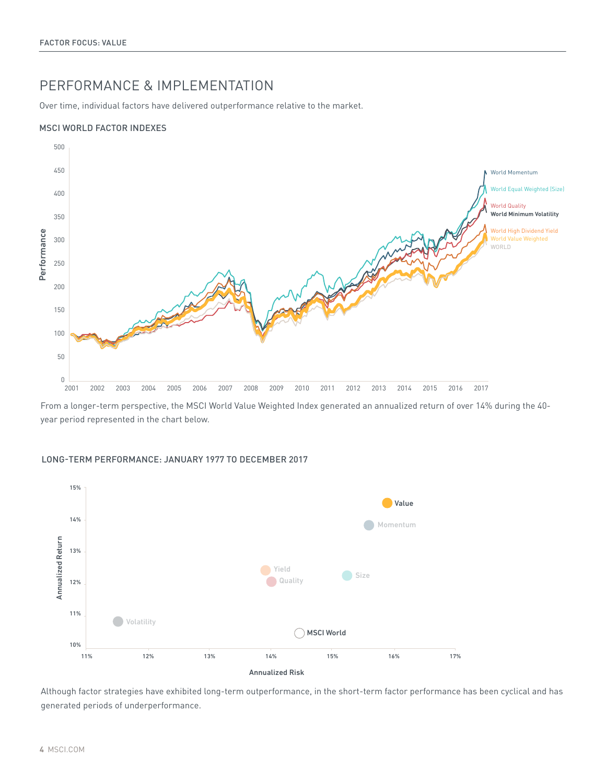#### PERFORMANCE & IMPLEMENTATION

Over time, individual factors have delivered outperformance relative to the market.

#### MSCI WORLD FACTOR INDEXES



From a longer-term perspective, the MSCI World Value Weighted Index generated an annualized return of over 14% during the 40 year period represented in the chart below.

#### LONG-TERM PERFORMANCE: JANUARY 1977 TO DECEMBER 2017



Although factor strategies have exhibited long-term outperformance, in the short-term factor performance has been cyclical and has generated periods of underperformance.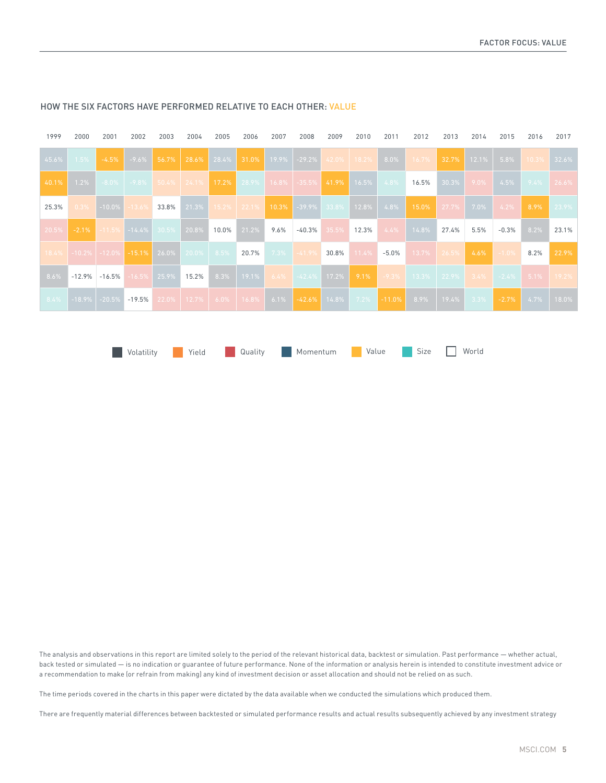| 28.6% 28.4% 31.0% 19.9% -29.2% 42.0% 18.2%<br>$\vert$ 8.0% $\vert$<br>$32.7\%$ 12.1% 5.8%<br>45.6%<br>$-9.6\%$<br>56.7%<br>$16.7\%$<br>1.5%<br>$-4.5%$<br>10.3%<br>1.2%<br>16.5%<br>$30.3\%$<br>9.0%<br>$4.5\%$ $9.4\%$ 26.6%<br>40.1% |       |
|----------------------------------------------------------------------------------------------------------------------------------------------------------------------------------------------------------------------------------------|-------|
|                                                                                                                                                                                                                                        | 32.6% |
|                                                                                                                                                                                                                                        |       |
| $15.2\%$   22.1%   10.3%   -39.9%   33.8%   12.8%   4.8%  <br>$-13.6\%$ 33.8%<br>21.3%<br>$-10.0\%$<br>15.0%<br>$\begin{array}{ c c c c c c c c } \hline 27.7\% & 7.0\% \hline \end{array}$<br>$4.2\%$<br>0.3%<br>8.9%<br>25.3%        | 23.9% |
| $\vert$ 20.8% 10.0% 21.2%<br>14.8%<br>27.4%<br>$-11.5\%$ $-14.4\%$ 30.5%<br>$9.6\%$<br>$-40.3\%$ 35.5% 12.3%<br>4.4%<br>5.5%<br>8.2%<br>20.5%<br>$-2.1%$<br>$-0.3%$                                                                    | 23.1% |
| $18.4\%$   -10.2%   -12.0%   -15.1%   26.0%   20.0%   8.5%   20.7%   7.3%   -41.9%   30.8%   11.4%  <br>13.7% 26.5%<br>$-5.0%$<br>$-1.0\%$<br>4.6%<br>8.2%                                                                             | 22.9% |
| $-9.3\%$ 13.3% 22.9% 3.4% -2.4% 5.1% 19.2%<br>$8.3\%$   19.1%   6.4%   42.4%   17.2%  <br>$9.1\%$<br>16.5% 25.9% 15.2%<br>8.6%<br>$-12.9\%$ $-16.5\%$                                                                                  |       |
| -18.9% -20.5% <mark>-19.5%</mark> 22.0% 12.7% 6.0% 16.8% 6.1% -42. <b>6% 1</b> 4.8% 7.2% -11.0 <b>% 8.9% 19.4% 3.3% -2.7%</b> 4.7%<br>8.4%                                                                                             | 18.0% |
|                                                                                                                                                                                                                                        |       |

**Notatility** Yield Quality Momentum Value Size World

#### HOW THE SIX FACTORS HAVE PERFORMED RELATIVE TO EACH OTHER: VALUE

The analysis and observations in this report are limited solely to the period of the relevant historical data, backtest or simulation. Past performance — whether actual, back tested or simulated — is no indication or guarantee of future performance. None of the information or analysis herein is intended to constitute investment advice or a recommendation to make (or refrain from making) any kind of investment decision or asset allocation and should not be relied on as such.

The time periods covered in the charts in this paper were dictated by the data available when we conducted the simulations which produced them.

There are frequently material differences between backtested or simulated performance results and actual results subsequently achieved by any investment strategy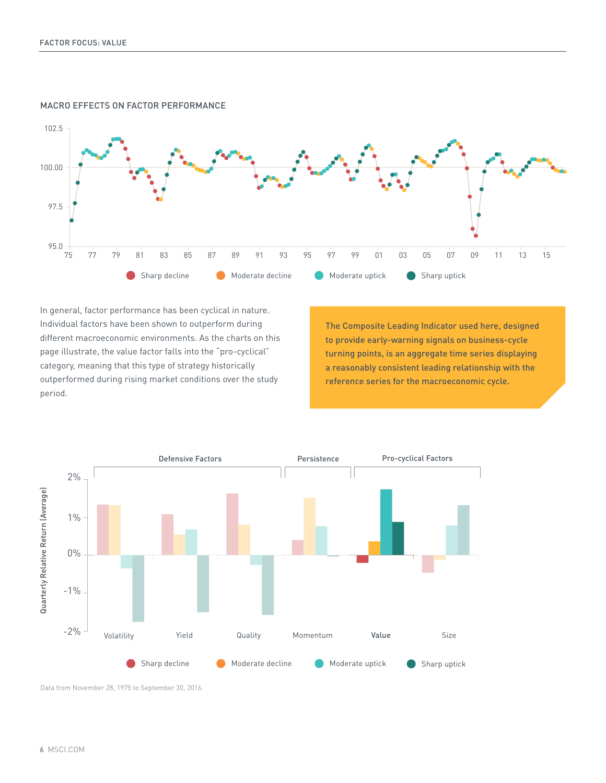

#### MACRO EFFECTS ON FACTOR PERFORMANCE

In general, factor performance has been cyclical in nature. Individual factors have been shown to outperform during different macroeconomic environments. As the charts on this page illustrate, the value factor falls into the "pro-cyclical" category, meaning that this type of strategy historically outperformed during rising market conditions over the study period.

The Composite Leading Indicator used here, designed to provide early-warning signals on business-cycle turning points, is an aggregate time series displaying a reasonably consistent leading relationship with the reference series for the macroeconomic cycle.



Data from November 28, 1975 to September 30, 2016.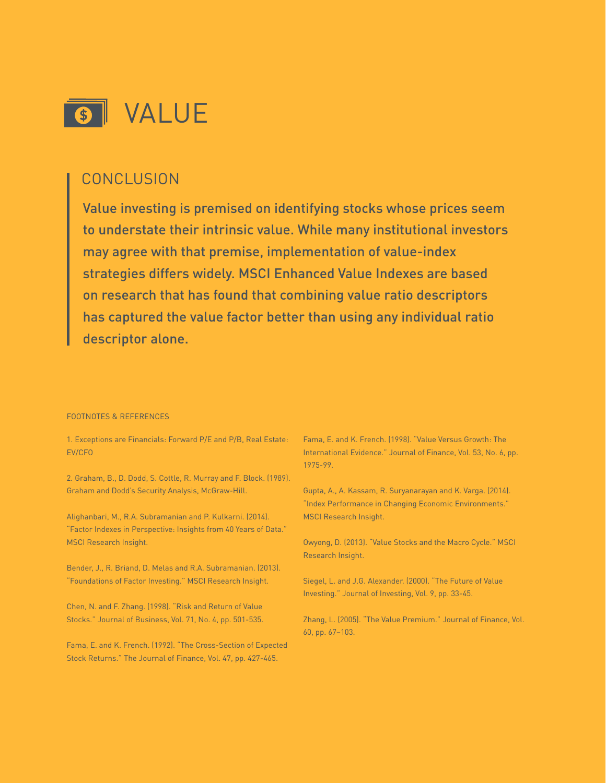

#### **CONCLUSION**

Value investing is premised on identifying stocks whose prices seem to understate their intrinsic value. While many institutional investors may agree with that premise, implementation of value-index strategies differs widely. MSCI Enhanced Value Indexes are based on research that has found that combining value ratio descriptors has captured the value factor better than using any individual ratio descriptor alone.

#### FOOTNOTES & REFERENCES

1. Exceptions are Financials: Forward P/E and P/B, Real Estate: EV/CFO

2. Graham, B., D. Dodd, S. Cottle, R. Murray and F. Block. (1989). Graham and Dodd's Security Analysis, McGraw-Hill.

Alighanbari, M., R.A. Subramanian and P. Kulkarni. (2014). "Factor Indexes in Perspective: Insights from 40 Years of Data." MSCI Research Insight.

Bender, J., R. Briand, D. Melas and R.A. Subramanian. (2013). "Foundations of Factor Investing." MSCI Research Insight.

Chen, N. and F. Zhang. (1998). "Risk and Return of Value Stocks." Journal of Business, Vol. 71, No. 4, pp. 501-535.

Fama, E. and K. French. (1992). "The Cross-Section of Expected Stock Returns." The Journal of Finance, Vol. 47, pp. 427-465.

Fama, E. and K. French. (1998). "Value Versus Growth: The International Evidence." Journal of Finance, Vol. 53, No. 6, pp. 1975-99.

Gupta, A., A. Kassam, R. Suryanarayan and K. Varga. (2014). "Index Performance in Changing Economic Environments." MSCI Research Insight.

Owyong, D. (2013). "Value Stocks and the Macro Cycle." MSCI Research Insight.

Siegel, L. and J.G. Alexander. (2000). "The Future of Value Investing." Journal of Investing, Vol. 9, pp. 33-45.

Zhang, L. (2005). "The Value Premium." Journal of Finance, Vol. 60, pp. 67–103.